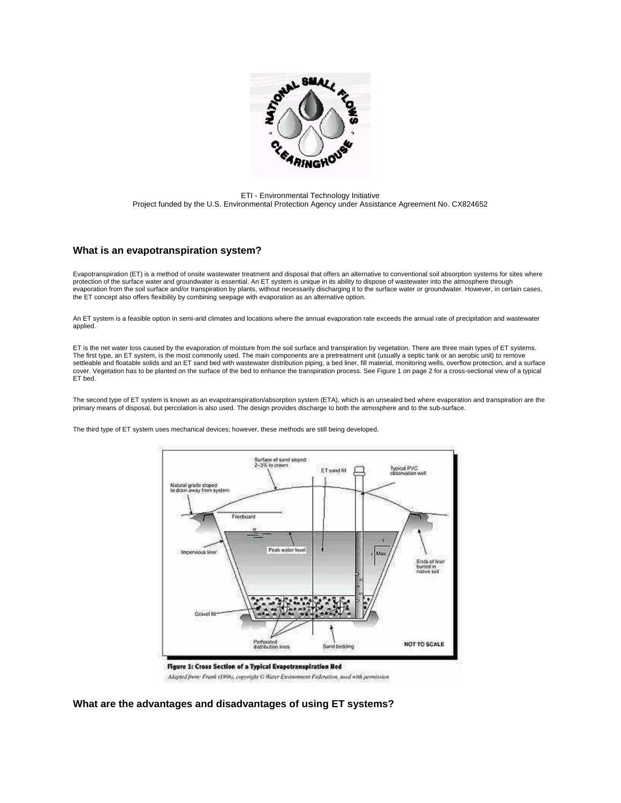

ETI - Environmental Technology Initiative Project funded by the U.S. Environmental Protection Agency under Assistance Agreement No. CX824652

## **What is an evapotranspiration system?**

Evapotranspiration (ET) is a method of onsite wastewater treatment and disposal that offers an alternative to conventional soil absorption systems for sites where protection of the surface water and groundwater is essential. An ET system is unique in its ability to dispose of wastewater into the atmosphere through evaporation from the soil surface and/or transpiration by plants, without necessarily discharging it to the surface water or groundwater. However, in certain cases, the ET concept also offers flexibility by combining seepage with evaporation as an alternative option.

An ET system is a feasible option in semi-arid climates and locations where the annual evaporation rate exceeds the annual rate of precipitation and wastewater applied.

ET is the net water loss caused by the evaporation of moisture from the soil surface and transpiration by vegetation. There are three main types of ET systems. The first type, an ET system, is the most commonly used. The main components are a pretreatment unit (usually a septic tank or an aerobic unit) to remove settleable and floatable solids and an ET sand bed with wastewater distribution piping, a bed liner, fill material, monitoring wells, overflow protection, and a surface cover. Vegetation has to be planted on the surface of the bed to enhance the transpiration process. See Figure 1 on page 2 for a cross-sectional view of a typical ET bed.

The second type of ET system is known as an evapotranspiration/absorption system (ETA), which is an unsealed bed where evaporation and transpiration are the<br>primary means of disposal, but percolation is also used. The desi

The third type of ET system uses mechanical devices; however, these methods are still being developed.



Adapted from: Frank (1996), copyright C Water Environment Federation, used with permission

**What are the advantages and disadvantages of using ET systems?**